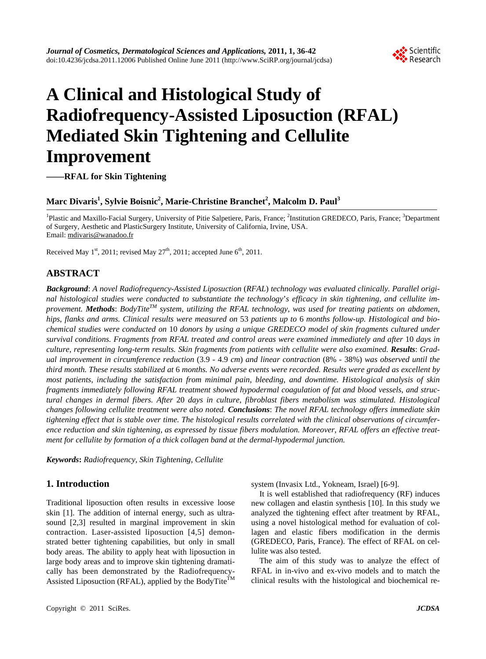

# **A Clinical and Histological Study of Radiofrequency-Assisted Liposuction (RFAL) Mediated Skin Tightening and Cellulite Improvement**

**——RFAL for Skin Tightening** 

# $\mathbf{Marc\ Divaris^{1}, Sylvie\ Boisnic^{2}, Marie-Christine Branchet^{2}, Malcolm\ D. Paul^{3}}$

<sup>1</sup>Plastic and Maxillo-Facial Surgery, University of Pitie Salpetiere, Paris, France; <sup>2</sup>Institution GREDECO, Paris, France; <sup>3</sup>Department of Surgery, Aesthetic and PlasticSurgery Institute, University of California, Irvine, USA. Email: [mdivaris@wanadoo.fr](mailto:mdivaris@wanadoo.fr)

Received May  $1^{st}$ , 2011; revised May  $27^{th}$ , 2011; accepted June  $6^{th}$ , 2011.

# **ABSTRACT**

*Background*: *A novel Radiofrequency-Assisted Liposuction* (*RFAL*) *technology was evaluated clinically. Parallel original histological studies were conducted to substantiate the technology*'*s efficacy in skin tightening*, *and cellulite improvement. Methods*: *BodyTiteTM system*, *utilizing the RFAL technology*, *was used for treating patients on abdomen*, *hips*, *flanks and arms. Clinical results were measured on* 53 *patients up to* 6 *months follow-up. Histological and biochemical studies were conducted on* 10 *donors by using a unique GREDECO model of skin fragments cultured under survival conditions. Fragments from RFAL treated and control areas were examined immediately and after* 10 *days in culture*, *representing long-term results. Skin fragments from patients with cellulite were also examined. Results*: *Gradual improvement in circumference reduction* (3.9 - 4.9 *cm*) *and linear contraction* (8% - 38%) *was observed until the third month. These results stabilized at* 6 *months. No adverse events were recorded. Results were graded as excellent by most patients*, *including the satisfaction from minimal pain*, *bleeding*, *and downtime. Histological analysis of skin fragments immediately following RFAL treatment showed hypodermal coagulation of fat and blood vessels, and structural changes in dermal fibers. After* 20 *days in culture*, *fibroblast fibers metabolism was stimulated. Histological changes following cellulite treatment were also noted. Conclusions*: *The novel RFAL technology offers immediate skin tightening effect that is stable over time. The histological results correlated with the clinical observations of circumference reduction and skin tightening*, *as expressed by tissue fibers modulation. Moreover*, *RFAL offers an effective treatment for cellulite by formation of a thick collagen band at the dermal-hypodermal junction.* 

*Keywords***:** *Radiofrequency*, *Skin Tightening*, *Cellulite* 

## **1. Introduction**

Traditional liposuction often results in excessive loose skin [1]. The addition of internal energy, such as ultrasound [2,3] resulted in marginal improvement in skin contraction. Laser-assisted liposuction [4,5] demonstrated better tightening capabilities, but only in small body areas. The ability to apply heat with liposuction in large body areas and to improve skin tightening dramatically has been demonstrated by the Radiofrequency-Assisted Liposuction (RFAL), applied by the BodyTite<sup>TM</sup>

system (Invasix Ltd., Yokneam, Israel) [6-9].

It is well established that radiofrequency (RF) induces new collagen and elastin synthesis [10]. In this study we analyzed the tightening effect after treatment by RFAL, using a novel histological method for evaluation of collagen and elastic fibers modification in the dermis (GREDECO, Paris, France). The effect of RFAL on cellulite was also tested.

The aim of this study was to analyze the effect of RFAL in in-vivo and ex-vivo models and to match the clinical results with the histological and biochemical re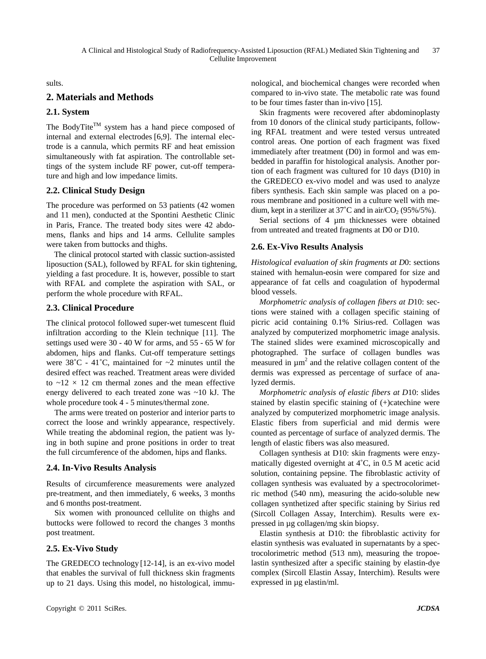sults.

## **2. Materials and Methods**

## **2.1. System**

The BodyTite<sup>TM</sup> system has a hand piece composed of internal and external electrodes [6,9]. The internal electrode is a cannula, which permits RF and heat emission simultaneously with fat aspiration. The controllable settings of the system include RF power, cut-off temperature and high and low impedance limits.

#### **2.2. Clinical Study Design**

The procedure was performed on 53 patients (42 women and 11 men), conducted at the Spontini Aesthetic Clinic in Paris, France. The treated body sites were 42 abdomens, flanks and hips and 14 arms. Cellulite samples were taken from buttocks and thighs.

The clinical protocol started with classic suction-assisted liposuction (SAL), followed by RFAL for skin tightening, yielding a fast procedure. It is, however, possible to start with RFAL and complete the aspiration with SAL, or perform the whole procedure with RFAL.

#### **2.3. Clinical Procedure**

The clinical protocol followed super-wet tumescent fluid infiltration according to the Klein technique [11]. The settings used were 30 - 40 W for arms, and 55 - 65 W for abdomen, hips and flanks. Cut-off temperature settings were  $38^{\circ}$ C - 41<sup>°</sup>C, maintained for  $\sim$ 2 minutes until the desired effect was reached. Treatment areas were divided to  $\sim$ 12 × 12 cm thermal zones and the mean effective energy delivered to each treated zone was ~10 kJ. The whole procedure took 4 - 5 minutes/thermal zone.

The arms were treated on posterior and interior parts to correct the loose and wrinkly appearance, respectively. While treating the abdominal region, the patient was lying in both supine and prone positions in order to treat the full circumference of the abdomen, hips and flanks.

## **2.4. In-Vivo Results Analysis**

Results of circumference measurements were analyzed pre-treatment, and then immediately, 6 weeks, 3 months and 6 months post-treatment.

Six women with pronounced cellulite on thighs and buttocks were followed to record the changes 3 months post treatment.

## **2.5. Ex-Vivo Study**

The GREDECO technology [12-14], is an ex-vivo model that enables the survival of full thickness skin fragments up to 21 days. Using this model, no histological, immu-

Skin fragments were recovered after abdominoplasty from 10 donors of the clinical study participants, following RFAL treatment and were tested versus untreated control areas. One portion of each fragment was fixed immediately after treatment (D0) in formol and was embedded in paraffin for histological analysis. Another portion of each fragment was cultured for 10 days (D10) in the GREDECO ex-vivo model and was used to analyze fibers synthesis. Each skin sample was placed on a porous membrane and positioned in a culture well with medium, kept in a sterilizer at  $37^{\circ}$ C and in air/CO<sub>2</sub> (95%/5%).

Serial sections of 4  $\mu$ m thicknesses were obtained from untreated and treated fragments at D0 or D10.

## **2.6. Ex-Vivo Results Analysis**

*Histological evaluation of skin fragments at D*0: sections stained with hemalun-eosin were compared for size and appearance of fat cells and coagulation of hypodermal blood vessels.

*Morphometric analysis of collagen fibers at D*10: sections were stained with a collagen specific staining of picric acid containing 0.1% Sirius-red. Collagen was analyzed by computerized morphometric image analysis. The stained slides were examined microscopically and photographed. The surface of collagen bundles was measured in  $\mu$ m<sup>2</sup> and the relative collagen content of the dermis was expressed as percentage of surface of analyzed dermis.

*Morphometric analysis of elastic fibers at D*10: slides stained by elastin specific staining of (+)catechine were analyzed by computerized morphometric image analysis. Elastic fibers from superficial and mid dermis were counted as percentage of surface of analyzed dermis. The length of elastic fibers was also measured.

Collagen synthesis at D10: skin fragments were enzymatically digested overnight at 4˚C, in 0.5 M acetic acid solution, containing pepsine. The fibroblastic activity of collagen synthesis was evaluated by a spectrocolorimetric method (540 nm), measuring the acido-soluble new collagen synthetized after specific staining by Sirius red (Sircoll Collagen Assay, Interchim). Results were expressed in µg collagen/mg skin biopsy.

Elastin synthesis at D10: the fibroblastic activity for elastin synthesis was evaluated in supernatants by a spectrocolorimetric method (513 nm), measuring the tropoelastin synthesized after a specific staining by elastin-dye complex (Sircoll Elastin Assay, Interchim). Results were expressed in µg elastin/ml.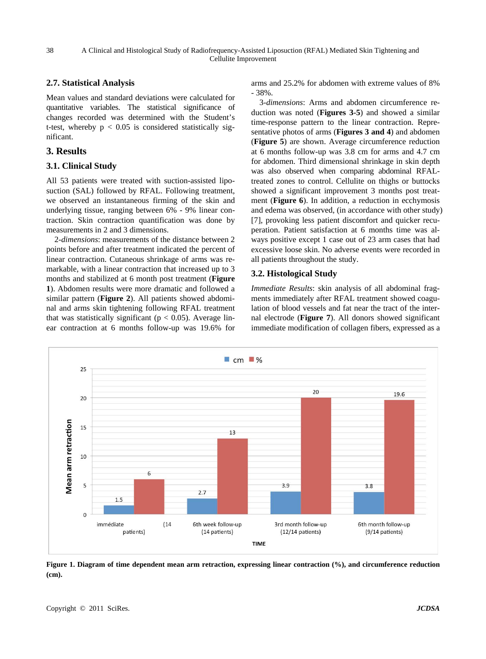A Clinical and Histological Study of Radiofrequency-Assisted Liposuction (RFAL) Mediated Skin Tightening and Cellulite Improvement

#### **2.7. Statistical Analysis**

Mean values and standard deviations were calculated for quantitative variables. The statistical significance of changes recorded was determined with the Student's t-test, whereby  $p < 0.05$  is considered statistically significant.

## **3. Results**

#### **3.1. Clinical Study**

All 53 patients were treated with suction-assisted liposuction (SAL) followed by RFAL. Following treatment, we observed an instantaneous firming of the skin and underlying tissue, ranging between 6% - 9% linear contraction. Skin contraction quantification was done by measurements in 2 and 3 dimensions.

2-*dimensions*: measurements of the distance between 2 points before and after treatment indicated the percent of linear contraction. Cutaneous shrinkage of arms was remarkable, with a linear contraction that increased up to 3 months and stabilized at 6 month post treatment (**Figure 1**). Abdomen results were more dramatic and followed a similar pattern (**Figure 2**). All patients showed abdominal and arms skin tightening following RFAL treatment that was statistically significant ( $p < 0.05$ ). Average linear contraction at 6 months follow-up was 19.6% for arms and 25.2% for abdomen with extreme values of 8% - 38%.

3*-dimensions*: Arms and abdomen circumference reduction was noted (**Figures 3-5**) and showed a similar time-response pattern to the linear contraction. Representative photos of arms (**Figures 3 and 4**) and abdomen (**Figure 5**) are shown. Average circumference reduction at 6 months follow-up was 3.8 cm for arms and 4.7 cm for abdomen. Third dimensional shrinkage in skin depth was also observed when comparing abdominal RFALtreated zones to control. Cellulite on thighs or buttocks showed a significant improvement 3 months post treatment (**Figure 6**). In addition, a reduction in ecchymosis and edema was observed, (in accordance with other study) [7], provoking less patient discomfort and quicker recuperation. Patient satisfaction at 6 months time was always positive except 1 case out of 23 arm cases that had excessive loose skin. No adverse events were recorded in all patients throughout the study.

#### **3.2. Histological Study**

*Immediate Results*: skin analysis of all abdominal fragments immediately after RFAL treatment showed coagulation of blood vessels and fat near the tract of the internal electrode (**Figure 7**). All donors showed significant immediate modification of collagen fibers, expressed as a



**Figure 1. Diagram of time dependent mean arm retraction, expressing linear contraction (%), and circumference reduction (cm).**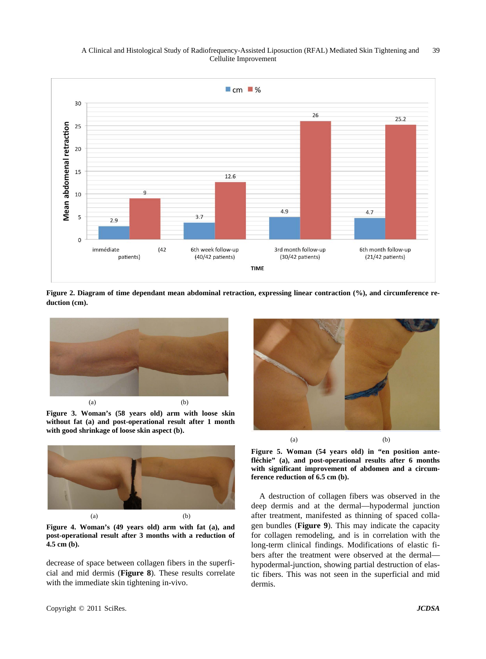

**Figure 2. Diagram of time dependant mean abdominal retraction, expressing linear contraction (%), and circumference reduction (cm).** 



**Figure 3. Woman's (58 years old) arm with loose skin without fat (a) and post-operational result after 1 month with good shrinkage of loose skin aspect (b).** 



**Figure 4. Woman's (49 years old) arm with fat (a), and post-operational result after 3 months with a reduction of 4.5 cm (b).** 

decrease of space between collagen fibers in the superficial and mid dermis (**Figure 8**). These results correlate with the immediate skin tightening in-vivo.



**Figure 5. Woman (54 years old) in "en position antefléchie" (a), and post-operational results after 6 months with significant improvement of abdomen and a circumference reduction of 6.5 cm (b).** 

A destruction of collagen fibers was observed in the deep dermis and at the dermal—hypodermal junction after treatment, manifested as thinning of spaced collagen bundles (**Figure 9**). This may indicate the capacity for collagen remodeling, and is in correlation with the long-term clinical findings. Modifications of elastic fibers after the treatment were observed at the dermal hypodermal-junction, showing partial destruction of elastic fibers. This was not seen in the superficial and mid dermis.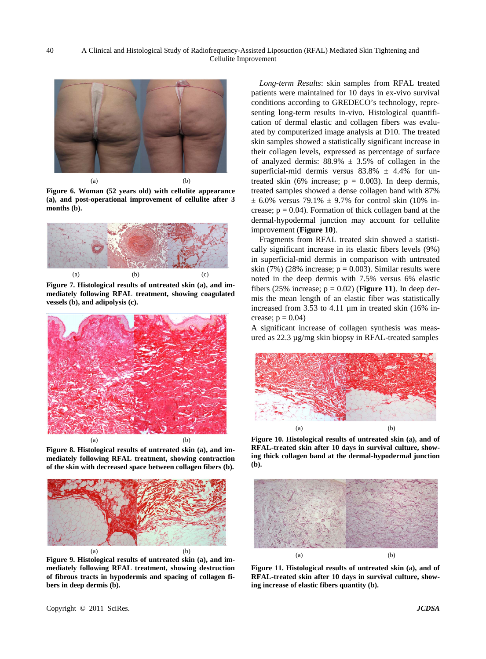

**Figure 6. Woman (52 years old) with cellulite appearance (a), and post-operational improvement of cellulite after 3 months (b).** 



**Figure 7. Histological results of untreated skin (a), and immediately following RFAL treatment, showing coagulated vessels (b), and adipolysis (c).** 



**Figure 8. Histological results of untreated skin (a), and immediately following RFAL treatment, showing contraction of the skin with decreased space between collagen fibers (b).** 



**Figure 9. Histological results of untreated skin (a), and immediately following RFAL treatment, showing destruction of fibrous tracts in hypodermis and spacing of collagen fibers in deep dermis (b).** 

*Long-term Results*: skin samples from RFAL treated patients were maintained for 10 days in ex-vivo survival conditions according to GREDECO's technology, representing long-term results in-vivo. Histological quantification of dermal elastic and collagen fibers was evaluated by computerized image analysis at D10. The treated skin samples showed a statistically significant increase in their collagen levels, expressed as percentage of surface of analyzed dermis:  $88.9\% \pm 3.5\%$  of collagen in the superficial-mid dermis versus  $83.8\% \pm 4.4\%$  for untreated skin (6% increase;  $p = 0.003$ ). In deep dermis, treated samples showed a dense collagen band with 87%  $\pm$  6.0% versus 79.1%  $\pm$  9.7% for control skin (10% increase;  $p = 0.04$ ). Formation of thick collagen band at the dermal-hypodermal junction may account for cellulite improvement (**Figure 10**).

Fragments from RFAL treated skin showed a statistically significant increase in its elastic fibers levels (9%) in superficial-mid dermis in comparison with untreated skin (7%) (28% increase;  $p = 0.003$ ). Similar results were noted in the deep dermis with 7.5% versus 6% elastic fibers (25% increase;  $p = 0.02$ ) (**Figure 11**). In deep dermis the mean length of an elastic fiber was statistically increased from 3.53 to 4.11 µm in treated skin (16% increase;  $p = 0.04$ )

A significant increase of collagen synthesis was measured as 22.3 µg/mg skin biopsy in RFAL-treated samples



**Figure 10. Histological results of untreated skin (a), and of RFAL-treated skin after 10 days in survival culture, showing thick collagen band at the dermal-hypodermal junction (b).** 



**Figure 11. Histological results of untreated skin (a), and of RFAL-treated skin after 10 days in survival culture, showing increase of elastic fibers quantity (b).**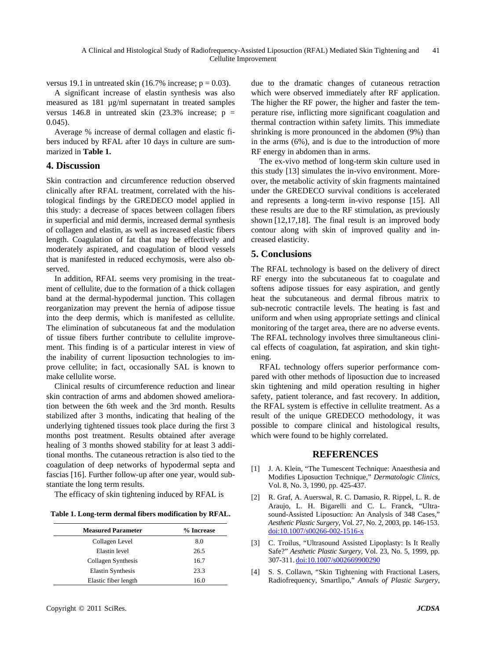versus 19.1 in untreated skin (16.7% increase;  $p = 0.03$ ).

A significant increase of elastin synthesis was also measured as 181 µg/ml supernatant in treated samples versus 146.8 in untreated skin  $(23.3\%$  increase; p = 0.045).

Average % increase of dermal collagen and elastic fibers induced by RFAL after 10 days in culture are summarized in **Table 1.** 

#### **4. Discussion**

Skin contraction and circumference reduction observed clinically after RFAL treatment, correlated with the histological findings by the GREDECO model applied in this study: a decrease of spaces between collagen fibers in superficial and mid dermis, increased dermal synthesis of collagen and elastin, as well as increased elastic fibers length. Coagulation of fat that may be effectively and moderately aspirated, and coagulation of blood vessels that is manifested in reduced ecchymosis, were also observed.

In addition, RFAL seems very promising in the treatment of cellulite, due to the formation of a thick collagen band at the dermal-hypodermal junction. This collagen reorganization may prevent the hernia of adipose tissue into the deep dermis, which is manifested as cellulite. The elimination of subcutaneous fat and the modulation of tissue fibers further contribute to cellulite improvement. This finding is of a particular interest in view of the inability of current liposuction technologies to improve cellulite; in fact, occasionally SAL is known to make cellulite worse.

Clinical results of circumference reduction and linear skin contraction of arms and abdomen showed amelioration between the 6th week and the 3rd month. Results stabilized after 3 months, indicating that healing of the underlying tightened tissues took place during the first 3 months post treatment. Results obtained after average healing of 3 months showed stability for at least 3 additional months. The cutaneous retraction is also tied to the coagulation of deep networks of hypodermal septa and fascias [16]. Further follow-up after one year, would substantiate the long term results.

The efficacy of skin tightening induced by RFAL is

**Table 1. Long-term dermal fibers modification by RFAL.** 

| <b>Measured Parameter</b> | % Increase |
|---------------------------|------------|
| Collagen Level            | 8.0        |
| Elastin level             | 26.5       |
| Collagen Synthesis        | 16.7       |
| <b>Elastin Synthesis</b>  | 23.3       |
| Elastic fiber length      | 16.0       |

due to the dramatic changes of cutaneous retraction which were observed immediately after RF application. The higher the RF power, the higher and faster the temperature rise, inflicting more significant coagulation and thermal contraction within safety limits. This immediate shrinking is more pronounced in the abdomen (9%) than in the arms (6%), and is due to the introduction of more RF energy in abdomen than in arms.

The ex-vivo method of long-term skin culture used in this study [13] simulates the in-vivo environment. Moreover, the metabolic activity of skin fragments maintained under the GREDECO survival conditions is accelerated and represents a long-term in-vivo response [15]. All these results are due to the RF stimulation, as previously shown [12,17,18]. The final result is an improved body contour along with skin of improved quality and increased elasticity.

## **5. Conclusions**

The RFAL technology is based on the delivery of direct RF energy into the subcutaneous fat to coagulate and softens adipose tissues for easy aspiration, and gently heat the subcutaneous and dermal fibrous matrix to sub-necrotic contractile levels. The heating is fast and uniform and when using appropriate settings and clinical monitoring of the target area, there are no adverse events. The RFAL technology involves three simultaneous clinical effects of coagulation, fat aspiration, and skin tightening.

RFAL technology offers superior performance compared with other methods of liposuction due to increased skin tightening and mild operation resulting in higher safety, patient tolerance, and fast recovery. In addition, the RFAL system is effective in cellulite treatment. As a result of the unique GREDECO methodology, it was possible to compare clinical and histological results, which were found to be highly correlated.

#### **REFERENCES**

- [1] J. A. Klein, "The Tumescent Technique: Anaesthesia and Modifies Liposuction Technique," *Dermatologic Clinics*, Vol. 8, No. 3, 1990, pp. 425-437.
- [2] R. Graf, A. Auerswal, R. C. Damasio, R. Rippel, L. R. de Araujo, L. H. Bigarelli and C. L. Franck, "Ultrasound-Assisted Liposuction: An Analysis of 348 Cases," *Aesthetic Plastic Surgery*, Vol. 27, No. 2, 2003, pp. 146-153. [doi:10.1007/s00266-002-1516-x](http://dx.doi.org/10.1007/s00266-002-1516-x)
- [3] C. Troilus, "Ultrasound Assisted Lipoplasty: Is It Really Safe?" *Aesthetic Plastic Surgery*, Vol. 23, No. 5, 1999, pp. 307-311. [doi:10.1007/s002669900290](http://dx.doi.org/10.1007/s002669900290)
- [4] S. S. Collawn, "Skin Tightening with Fractional Lasers, Radiofrequency, Smartlipo," *Annals of Plastic Surgery*,